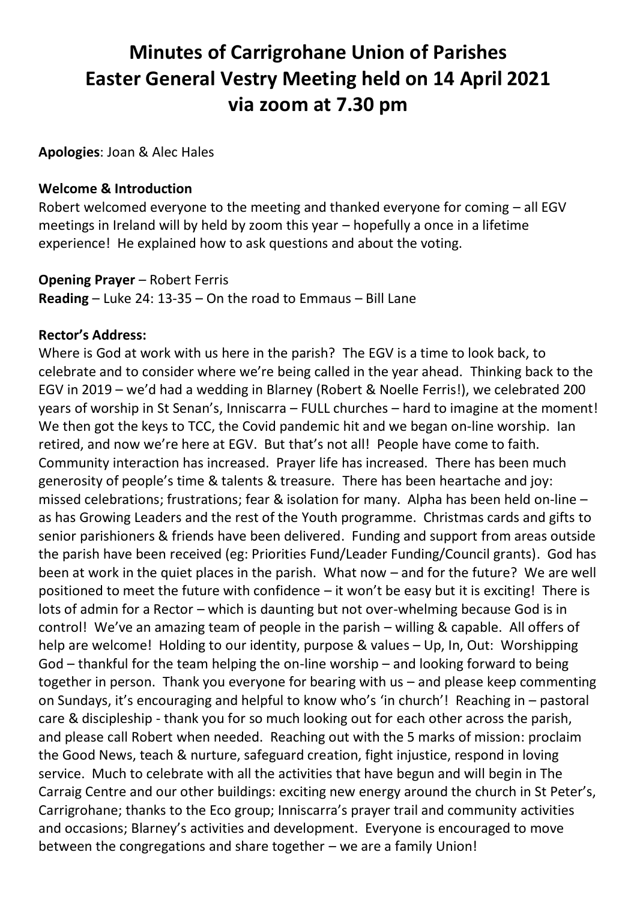# **Minutes of Carrigrohane Union of Parishes Easter General Vestry Meeting held on 14 April 2021 via zoom at 7.30 pm**

**Apologies**: Joan & Alec Hales

#### **Welcome & Introduction**

Robert welcomed everyone to the meeting and thanked everyone for coming – all EGV meetings in Ireland will by held by zoom this year – hopefully a once in a lifetime experience! He explained how to ask questions and about the voting.

#### **Opening Prayer** – Robert Ferris

**Reading** – Luke 24: 13-35 – On the road to Emmaus – Bill Lane

#### **Rector's Address:**

Where is God at work with us here in the parish? The EGV is a time to look back, to celebrate and to consider where we're being called in the year ahead. Thinking back to the EGV in 2019 – we'd had a wedding in Blarney (Robert & Noelle Ferris!), we celebrated 200 years of worship in St Senan's, Inniscarra – FULL churches – hard to imagine at the moment! We then got the keys to TCC, the Covid pandemic hit and we began on-line worship. Ian retired, and now we're here at EGV. But that's not all! People have come to faith. Community interaction has increased. Prayer life has increased. There has been much generosity of people's time & talents & treasure. There has been heartache and joy: missed celebrations; frustrations; fear & isolation for many. Alpha has been held on-line – as has Growing Leaders and the rest of the Youth programme. Christmas cards and gifts to senior parishioners & friends have been delivered. Funding and support from areas outside the parish have been received (eg: Priorities Fund/Leader Funding/Council grants). God has been at work in the quiet places in the parish. What now – and for the future? We are well positioned to meet the future with confidence  $-$  it won't be easy but it is exciting! There is lots of admin for a Rector – which is daunting but not over-whelming because God is in control! We've an amazing team of people in the parish – willing & capable. All offers of help are welcome! Holding to our identity, purpose & values – Up, In, Out: Worshipping God – thankful for the team helping the on-line worship – and looking forward to being together in person. Thank you everyone for bearing with us – and please keep commenting on Sundays, it's encouraging and helpful to know who's 'in church'! Reaching in – pastoral care & discipleship - thank you for so much looking out for each other across the parish, and please call Robert when needed. Reaching out with the 5 marks of mission: proclaim the Good News, teach & nurture, safeguard creation, fight injustice, respond in loving service. Much to celebrate with all the activities that have begun and will begin in The Carraig Centre and our other buildings: exciting new energy around the church in St Peter's, Carrigrohane; thanks to the Eco group; Inniscarra's prayer trail and community activities and occasions; Blarney's activities and development. Everyone is encouraged to move between the congregations and share together – we are a family Union!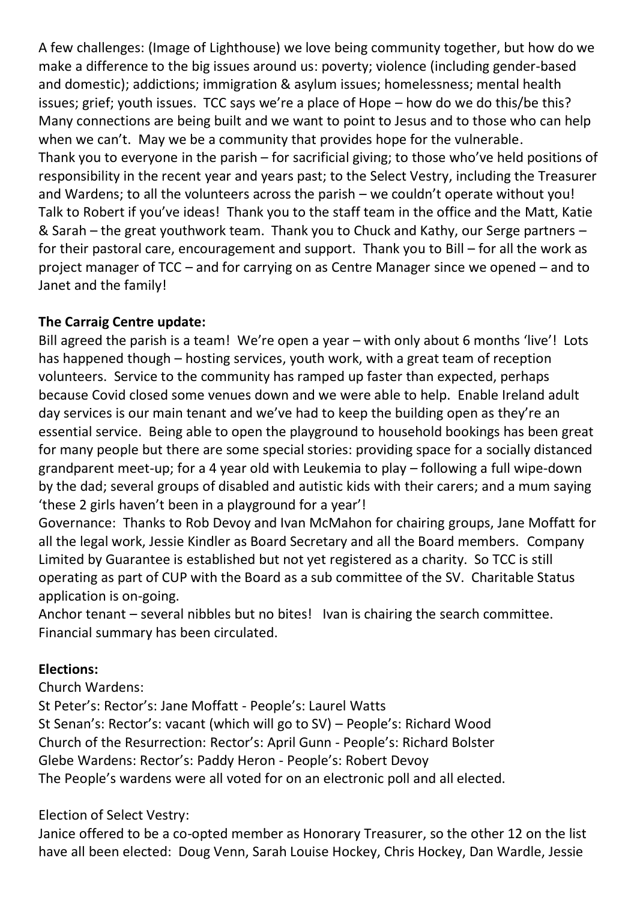A few challenges: (Image of Lighthouse) we love being community together, but how do we make a difference to the big issues around us: poverty; violence (including gender-based and domestic); addictions; immigration & asylum issues; homelessness; mental health issues; grief; youth issues. TCC says we're a place of Hope – how do we do this/be this? Many connections are being built and we want to point to Jesus and to those who can help when we can't. May we be a community that provides hope for the vulnerable. Thank you to everyone in the parish – for sacrificial giving; to those who've held positions of responsibility in the recent year and years past; to the Select Vestry, including the Treasurer and Wardens; to all the volunteers across the parish – we couldn't operate without you! Talk to Robert if you've ideas! Thank you to the staff team in the office and the Matt, Katie & Sarah – the great youthwork team. Thank you to Chuck and Kathy, our Serge partners – for their pastoral care, encouragement and support. Thank you to Bill – for all the work as project manager of TCC – and for carrying on as Centre Manager since we opened – and to Janet and the family!

## **The Carraig Centre update:**

Bill agreed the parish is a team! We're open a year – with only about 6 months 'live'! Lots has happened though – hosting services, youth work, with a great team of reception volunteers. Service to the community has ramped up faster than expected, perhaps because Covid closed some venues down and we were able to help. Enable Ireland adult day services is our main tenant and we've had to keep the building open as they're an essential service. Being able to open the playground to household bookings has been great for many people but there are some special stories: providing space for a socially distanced grandparent meet-up; for a 4 year old with Leukemia to play – following a full wipe-down by the dad; several groups of disabled and autistic kids with their carers; and a mum saying 'these 2 girls haven't been in a playground for a year'!

Governance: Thanks to Rob Devoy and Ivan McMahon for chairing groups, Jane Moffatt for all the legal work, Jessie Kindler as Board Secretary and all the Board members. Company Limited by Guarantee is established but not yet registered as a charity. So TCC is still operating as part of CUP with the Board as a sub committee of the SV. Charitable Status application is on-going.

Anchor tenant – several nibbles but no bites! Ivan is chairing the search committee. Financial summary has been circulated.

# **Elections:**

Church Wardens:

St Peter's: Rector's: Jane Moffatt - People's: Laurel Watts St Senan's: Rector's: vacant (which will go to SV) – People's: Richard Wood Church of the Resurrection: Rector's: April Gunn - People's: Richard Bolster Glebe Wardens: Rector's: Paddy Heron - People's: Robert Devoy The People's wardens were all voted for on an electronic poll and all elected.

# Election of Select Vestry:

Janice offered to be a co-opted member as Honorary Treasurer, so the other 12 on the list have all been elected: Doug Venn, Sarah Louise Hockey, Chris Hockey, Dan Wardle, Jessie